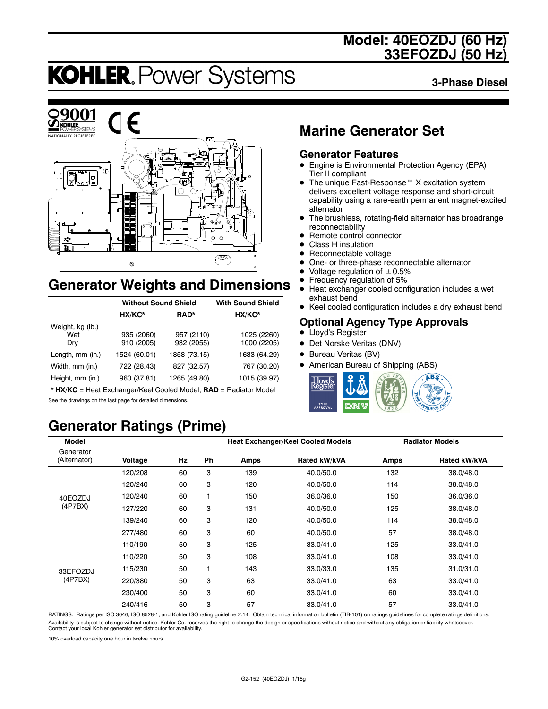### **Model: 40EOZDJ (60 Hz) 33EFOZDJ (50 Hz)**

# **KOHLER. Power Systems**

**3-Phase Diesel**



### **Generator Weights and Dimensions**

|                                | <b>Without Sound Shield</b> | <b>With Sound Shield</b> |                            |
|--------------------------------|-----------------------------|--------------------------|----------------------------|
|                                | HX/KC*                      | RAD*                     | HX/KC*                     |
| Weight, kg (lb.)<br>Wet<br>Dry | 935 (2060)<br>910 (2005)    | 957 (2110)<br>932 (2055) | 1025 (2260)<br>1000 (2205) |
| Length, mm (in.)               | 1524 (60.01)                | 1858 (73.15)             | 1633 (64.29)               |
| Width, mm (in.)                | 722 (28.43)                 | 827 (32.57)              | 767 (30.20)                |
| Height, mm (in.)               | 960 (37.81)                 | 1265 (49.80)             | 1015 (39.97)               |

\* **HX/KC** = Heat Exchanger/Keel Cooled Model, **RAD** = Radiator Model See the drawings on the last page for detailed dimensions.

## **Generator Ratings (Prime)**

### **Marine Generator Set**

#### **Generator Features**

- Engine is Environmental Protection Agency (EPA) Tier II compliant
- $\bullet$  The unique Fast-Response<sup> $M$ </sup> X excitation system delivers excellent voltage response and short-circuit capability using a rare-earth permanent magnet-excited alternator
- The brushless, rotating-field alternator has broadrange reconnectability
- Remote control connector
- Class H insulation
- Reconnectable voltage
- One- or three-phase reconnectable alternator
- Voltage regulation of  $\pm 0.5\%$ <br>• Frequency regulation of 5%
- Frequency regulation of 5%<br>• Heat exchanger cooled cont Heat exchanger cooled configuration includes a wet
- exhaust bend
- Keel cooled configuration includes a dry exhaust bend

#### **Optional Agency Type Approvals**

- Lloyd's Register
- Det Norske Veritas (DNV)
- Bureau Veritas (BV)
- American Bureau of Shipping (ABS)



| <b>Model</b>              |         |    |    |      | <b>Heat Exchanger/Keel Cooled Models</b> |      | <b>Radiator Models</b> |
|---------------------------|---------|----|----|------|------------------------------------------|------|------------------------|
| Generator<br>(Alternator) | Voltage | Hz | Ph | Amps | Rated kW/kVA                             | Amps | <b>Rated kW/kVA</b>    |
|                           | 120/208 | 60 | 3  | 139  | 40.0/50.0                                | 132  | 38.0/48.0              |
|                           | 120/240 | 60 | 3  | 120  | 40.0/50.0                                | 114  | 38.0/48.0              |
| 40EOZDJ                   | 120/240 | 60 | 1  | 150  | 36.0/36.0                                | 150  | 36.0/36.0              |
| (4P7BX)                   | 127/220 | 60 | 3  | 131  | 40.0/50.0                                | 125  | 38.0/48.0              |
|                           | 139/240 | 60 | 3  | 120  | 40.0/50.0                                | 114  | 38.0/48.0              |
|                           | 277/480 | 60 | 3  | 60   | 40.0/50.0                                | 57   | 38.0/48.0              |
|                           | 110/190 | 50 | 3  | 125  | 33.0/41.0                                | 125  | 33.0/41.0              |
|                           | 110/220 | 50 | 3  | 108  | 33.0/41.0                                | 108  | 33.0/41.0              |
| 33EFOZDJ                  | 115/230 | 50 | 1  | 143  | 33.0/33.0                                | 135  | 31.0/31.0              |
| (4P7BX)                   | 220/380 | 50 | 3  | 63   | 33.0/41.0                                | 63   | 33.0/41.0              |
|                           | 230/400 | 50 | 3  | 60   | 33.0/41.0                                | 60   | 33.0/41.0              |
|                           | 240/416 | 50 | 3  | 57   | 33.0/41.0                                | 57   | 33.0/41.0              |

RATINGS: Ratings per ISO 3046, ISO 8528-1, and Kohler ISO rating guideline 2.14. Obtain technical information bulletin (TIB-101) on ratings guidelines for complete ratings definitions. Availability is subject to change without notice. Kohler Co. reserves the right to change the design or specifications without notice and without any obligation or liability whatsoever.<br>Contact your local Kohler generator

10% overload capacity one hour in twelve hours.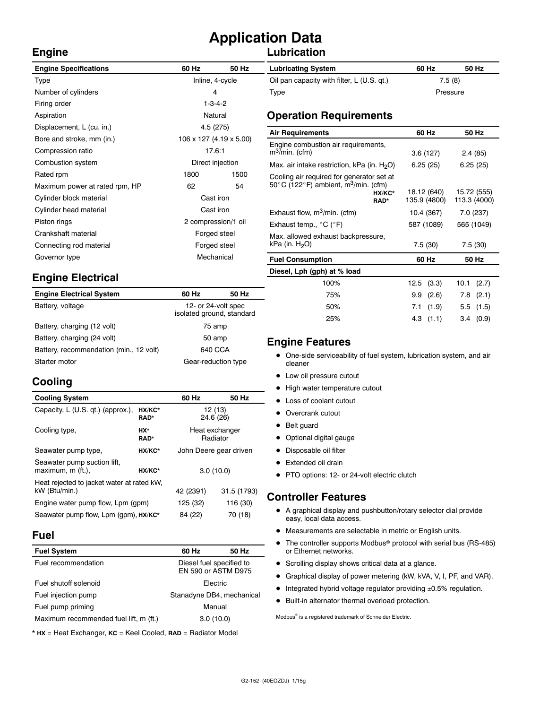# **Application Data**

#### **Lubrication**

| <b>Engine Specifications</b>    | 60 Hz                     | 50 Hz | <b>Lubricating System</b>                                            | 60 Hz                       | 50 Hz         |  |
|---------------------------------|---------------------------|-------|----------------------------------------------------------------------|-----------------------------|---------------|--|
| Type                            | Inline, 4-cycle           |       | Oil pan capacity with filter, L (U.S. qt.)                           |                             | 7.5(8)        |  |
| Number of cylinders             | 4                         |       | Type                                                                 |                             | Pressure      |  |
| Firing order                    | $1 - 3 - 4 - 2$           |       |                                                                      |                             |               |  |
| Aspiration                      | Natural                   |       | <b>Operation Requirements</b>                                        |                             |               |  |
| Displacement, L (cu. in.)       | 4.5 (275)                 |       | <b>Air Requirements</b>                                              | 60 Hz                       | 50 Hz         |  |
| Bore and stroke, mm (in.)       | 106 x 127 (4.19 x 5.00)   |       |                                                                      |                             |               |  |
| Compression ratio               | 17.6:1                    |       | Engine combustion air requirements,<br>$m^3$ /min. (cfm)             | 3.6(127)                    | 2.4(85)       |  |
| Combustion system               | Direct injection          |       | Max. air intake restriction, kPa (in. $H_2O$ )                       | 6.25(25)                    | 6.25(25)      |  |
| Rated rpm                       | 1800                      | 1500  | Cooling air required for generator set at                            |                             |               |  |
| Maximum power at rated rpm, HP  | 62<br>54<br>Cast iron     |       | 50 $\degree$ C (122 $\degree$ F) ambient, m <sup>3</sup> /min. (cfm) |                             | 15.72 (555)   |  |
| Cylinder block material         |                           |       | HX/KC*<br>RAD*                                                       | 18.12 (640)<br>135.9 (4800) | 113.3 (4000)  |  |
| Cylinder head material          | Cast iron                 |       | Exhaust flow, $m^3/m$ in. (cfm)                                      | 10.4 (367)                  | 7.0 (237)     |  |
| Piston rings                    | 2 compression/1 oil       |       | Exhaust temp., $^{\circ}$ C ( $^{\circ}$ F)                          | 587 (1089)                  | 565 (1049)    |  |
| Crankshaft material             | Forged steel              |       | Max. allowed exhaust backpressure,                                   |                             |               |  |
| Connecting rod material         | Forged steel              |       | kPa (in. $H_2O$ )                                                    | 7.5(30)                     | 7.5(30)       |  |
| Governor type                   | Mechanical                |       | <b>Fuel Consumption</b>                                              | 60 Hz                       | 50 Hz         |  |
|                                 |                           |       | Diesel, Lph (gph) at % load                                          |                             |               |  |
| <b>Engine Electrical</b>        |                           |       | 100%                                                                 | 12.5<br>(3.3)               | (2.7)<br>10.1 |  |
| <b>Engine Electrical System</b> | 60 Hz                     | 50 Hz | 75%                                                                  | 9.9<br>(2.6)                | (2.1)<br>7.8  |  |
| Battery, voltage                | 12- or 24-volt spec       |       | 50%                                                                  | 7.1<br>(1.9)                | 5.5<br>(1.5)  |  |
|                                 | isolated ground, standard |       | 25%                                                                  | 4.3<br>(1.1)                | (0.9)<br>3.4  |  |
| Rottony charging (10 yolt)      | <b>75 amp</b>             |       |                                                                      |                             |               |  |

#### **Engine Features**

- One-side serviceability of fuel system, lubrication system, and air cleaner
- Low oil pressure cutout
- High water temperature cutout
- Loss of coolant cutout
- Overcrank cutout
- Belt guard
- Optional digital gauge
- Disposable oil filter
- Extended oil drain
- PTO options: 12- or 24-volt electric clutch

#### **Controller Features**

- A graphical display and pushbutton/rotary selector dial provide easy, local data access.
- $\bullet$  Measurements are selectable in metric or English units.
- $\bullet$  The controller supports Modbus<sup>®</sup> protocol with serial bus (RS-485) or Ethernet networks.
- Scrolling display shows critical data at a glance.
- Graphical display of power metering (kW, kVA, V, I, PF, and VAR).
- $\bullet$  Integrated hybrid voltage regulator providing  $\pm 0.5\%$  regulation.
- $\bullet$  Built-in alternator thermal overload protection.

 $\text{Modbus}^{\otimes}$  is a registered trademark of Schneider Electric.

| <b>Engine Electrical System</b>         | 60 Hz                                            | 50 Hz |  |
|-----------------------------------------|--------------------------------------------------|-------|--|
| Battery, voltage                        | 12- or 24-volt spec<br>isolated ground, standard |       |  |
| Battery, charging (12 volt)             | 75 amp                                           |       |  |
| Battery, charging (24 volt)             | 50 amp                                           |       |  |
| Battery, recommendation (min., 12 volt) | 640 CCA                                          |       |  |
| Starter motor                           | Gear-reduction type                              |       |  |

#### **Cooling**

**Engine**

| <b>Cooling System</b>                                       |          | 60 Hz                      | 50 Hz       |  |
|-------------------------------------------------------------|----------|----------------------------|-------------|--|
| Capacity, L (U.S. qt.) (approx.),<br>HX/KC*<br><b>RAD*</b>  |          | 12 (13)<br>24.6 (26)       |             |  |
| Cooling type,<br>HX*<br><b>RAD*</b>                         |          | Heat exchanger<br>Radiator |             |  |
| Seawater pump type,<br>HX/KC*                               |          | John Deere gear driven     |             |  |
| Seawater pump suction lift,<br>maximum, m (ft.),<br>HX/KC*  |          | 3.0(10.0)                  |             |  |
| Heat rejected to jacket water at rated kW.<br>kW (Btu/min.) |          | 42 (2391)                  | 31.5 (1793) |  |
| Engine water pump flow, Lpm (gpm)                           | 125 (32) | 116 (30)                   |             |  |
| Seawater pump flow, Lpm (qpm), HX/KC*                       | 84 (22)  | 70 (18)                    |             |  |

#### **Fuel**

| <b>Fuel System</b>                     | 60 Hz                                           | 50 Hz |  |
|----------------------------------------|-------------------------------------------------|-------|--|
| Fuel recommendation                    | Diesel fuel specified to<br>EN 590 or ASTM D975 |       |  |
| Fuel shutoff solenoid                  | <b>Flectric</b>                                 |       |  |
| Fuel injection pump                    | Stanadyne DB4, mechanical                       |       |  |
| Fuel pump priming                      | Manual                                          |       |  |
| Maximum recommended fuel lift, m (ft.) | 3.0(10.0)                                       |       |  |

\* **HX** = Heat Exchanger, **KC** = Keel Cooled, **RAD** = Radiator Model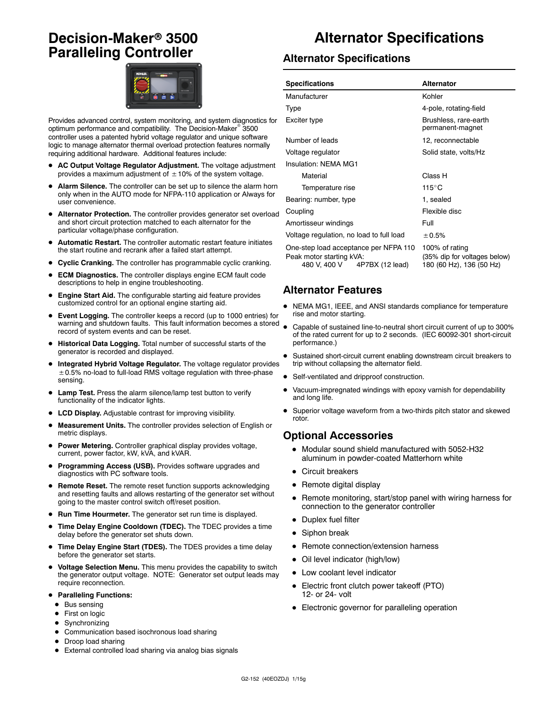### **Decision-Maker<sup>®</sup> 3500 Paralleling Controller**



Provides advanced control, system monitoring, and system diagnostics for optimum performance and compatibility. The Decision-Maker<sup>®</sup> 3500 controller uses a patented hybrid voltage regulator and unique software logic to manage alternator thermal overload protection features normally requiring additional hardware. Additional features include:

- AC Output Voltage Regulator Adjustment. The voltage adjustment provides a maximum adjustment of  $\pm$  10% of the system voltage.
- Alarm Silence. The controller can be set up to silence the alarm horn only when in the AUTO mode for NFPA-110 application or Always for user convenience.
- Alternator Protection. The controller provides generator set overload and short circuit protection matched to each alternator for the particular voltage/phase configuration.
- Automatic Restart. The controller automatic restart feature initiates the start routine and recrank after a failed start attempt.
- **Cyclic Cranking.** The controller has programmable cyclic cranking.
- ECM Diagnostics. The controller displays engine ECM fault code descriptions to help in engine troubleshooting.
- **Engine Start Aid.** The configurable starting aid feature provides customized control for an optional engine starting aid.
- **Event Logging.** The controller keeps a record (up to 1000 entries) for warning and shutdown faults. This fault information becomes a stored record of system events and can be reset.
- $\bullet$  Historical Data Logging. Total number of successful starts of the generator is recorded and displayed.
- Integrated Hybrid Voltage Regulator. The voltage regulator provides ±0.5% no-load to full-load RMS voltage regulation with three-phase sensing.
- Lamp Test. Press the alarm silence/lamp test button to verify functionality of the indicator lights.
- LCD Display. Adjustable contrast for improving visibility.
- D **Measurement Units.** The controller provides selection of English or metric displays.
- Power Metering. Controller graphical display provides voltage, current, power factor, kW, kVA, and kVAR.
- Programming Access (USB). Provides software upgrades and diagnostics with PC software tools.
- Remote Reset. The remote reset function supports acknowledging and resetting faults and allows restarting of the generator set without going to the master control switch off/reset position.
- Run Time Hourmeter. The generator set run time is displayed.
- Time Delay Engine Cooldown (TDEC). The TDEC provides a time delay before the generator set shuts down.
- Time Delay Engine Start (TDES). The TDES provides a time delay before the generator set starts.
- Voltage Selection Menu. This menu provides the capability to switch the generator output voltage. NOTE: Generator set output leads may require reconnection.
- **Paralleling Functions:** 
	- $\bullet$  Bus sensing
	- First on logic
	- $\bullet$  Synchronizing
- Communication based isochronous load sharing
- Droop load sharing
- External controlled load sharing via analog bias signals

## **Alternator Specifications**

#### **Alternator Specifications**

| <b>Specifications</b>                                                                                | <b>Alternator</b>                                                          |  |  |
|------------------------------------------------------------------------------------------------------|----------------------------------------------------------------------------|--|--|
| Manufacturer                                                                                         | Kohler                                                                     |  |  |
| Type                                                                                                 | 4-pole, rotating-field                                                     |  |  |
| Exciter type                                                                                         | Brushless, rare-earth<br>permanent-magnet                                  |  |  |
| Number of leads                                                                                      | 12, reconnectable                                                          |  |  |
| Voltage regulator                                                                                    | Solid state, volts/Hz                                                      |  |  |
| Insulation: NFMA MG1                                                                                 |                                                                            |  |  |
| Material                                                                                             | Class H                                                                    |  |  |
| Temperature rise                                                                                     | $115^{\circ}$ C                                                            |  |  |
| Bearing: number, type                                                                                | 1. sealed                                                                  |  |  |
| Coupling                                                                                             | Flexible disc                                                              |  |  |
| Amortisseur windings                                                                                 | Full                                                                       |  |  |
| Voltage regulation, no load to full load                                                             | ± 0.5%                                                                     |  |  |
| One-step load acceptance per NFPA 110<br>Peak motor starting kVA:<br>480 V, 400 V<br>4P7BX (12 lead) | 100% of rating<br>(35% dip for voltages below)<br>180 (60 Hz), 136 (50 Hz) |  |  |

#### **Alternator Features**

- NEMA MG1, IEEE, and ANSI standards compliance for temperature rise and motor starting.
- Capable of sustained line-to-neutral short circuit current of up to 300% of the rated current for up to 2 seconds. (IEC 60092-301 short-circuit performance.)
- Sustained short-circuit current enabling downstream circuit breakers to trip without collapsing the alternator field.
- Self-ventilated and dripproof construction.
- Vacuum-impregnated windings with epoxy varnish for dependability and long life.
- Superior voltage waveform from a two-thirds pitch stator and skewed rotor.

#### **Optional Accessories**

- $\bullet$  Modular sound shield manufactured with 5052-H32 aluminum in powder-coated Matterhorn white
- $\bullet$  Circuit breakers
- $\bullet$  Remote digital display
- Remote monitoring, start/stop panel with wiring harness for connection to the generator controller
- Duplex fuel filter
- $\bullet$  Siphon break
- Remote connection/extension harness
- Oil level indicator (high/low)
- Low coolant level indicator
- Electric front clutch power takeoff (PTO) 12- or 24- volt
- Electronic governor for paralleling operation